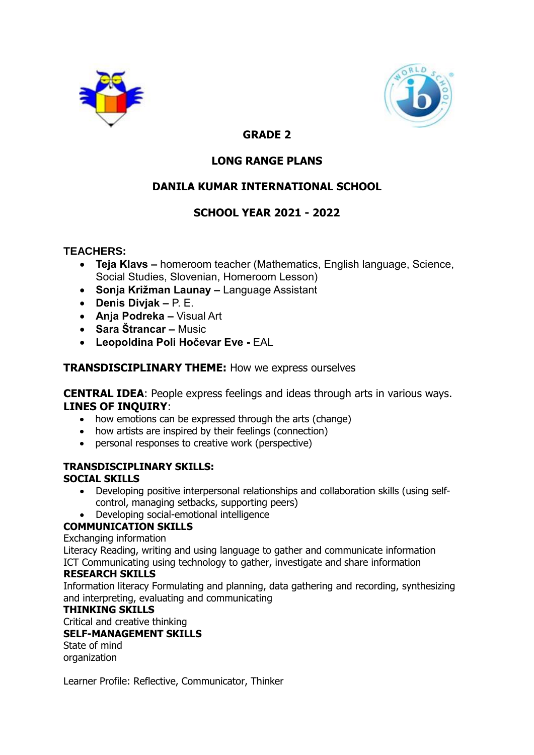



# **GRADE 2**

# **LONG RANGE PLANS**

# **DANILA KUMAR INTERNATIONAL SCHOOL**

# **SCHOOL YEAR 2021 - 2022**

### **TEACHERS:**

- **Teja Klavs –** homeroom teacher (Mathematics, English language, Science, Social Studies, Slovenian, Homeroom Lesson)
- **Sonja Križman Launay –** Language Assistant
- **Denis Divjak –** P. E.
- **Anja Podreka –** Visual Art
- **Sara Štrancar –** Music
- **Leopoldina Poli Hočevar Eve -** EAL

### **TRANSDISCIPLINARY THEME:** How we express ourselves

**CENTRAL IDEA**: People express feelings and ideas through arts in various ways. **LINES OF INQUIRY**:

- how emotions can be expressed through the arts (change)
- how artists are inspired by their feelings (connection)
- personal responses to creative work (perspective)

## **TRANSDISCIPLINARY SKILLS:**

### **SOCIAL SKILLS**

- Developing positive interpersonal relationships and collaboration skills (using selfcontrol, managing setbacks, supporting peers)
- Developing social-emotional intelligence

### **COMMUNICATION SKILLS**

Exchanging information

Literacy Reading, writing and using language to gather and communicate information ICT Communicating using technology to gather, investigate and share information

### **RESEARCH SKILLS**

Information literacy Formulating and planning, data gathering and recording, synthesizing and interpreting, evaluating and communicating

### **THINKING SKILLS**

Critical and creative thinking

### **SELF-MANAGEMENT SKILLS**

State of mind organization

Learner Profile: Reflective, Communicator, Thinker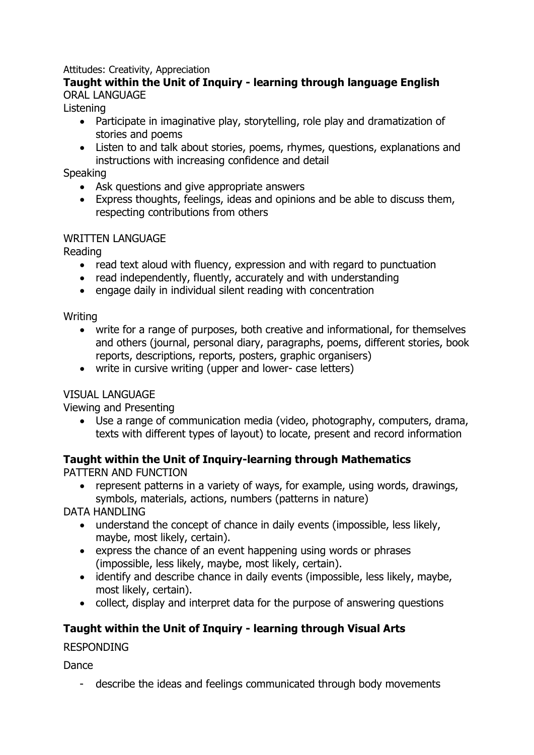## Attitudes: Creativity, Appreciation

## **Taught within the Unit of Inquiry - learning through language English** ORAL LANGUAGE

### Listening

- Participate in imaginative play, storytelling, role play and dramatization of stories and poems
- Listen to and talk about stories, poems, rhymes, questions, explanations and instructions with increasing confidence and detail

### **Speaking**

- Ask questions and give appropriate answers
- Express thoughts, feelings, ideas and opinions and be able to discuss them, respecting contributions from others

## WRITTEN LANGUAGE

Reading

- read text aloud with fluency, expression and with regard to punctuation
- read independently, fluently, accurately and with understanding
- engage daily in individual silent reading with concentration

### Writing

- write for a range of purposes, both creative and informational, for themselves and others (journal, personal diary, paragraphs, poems, different stories, book reports, descriptions, reports, posters, graphic organisers)
- write in cursive writing (upper and lower- case letters)

# VISUAL LANGUAGE

Viewing and Presenting

 Use a range of communication media (video, photography, computers, drama, texts with different types of layout) to locate, present and record information

# **Taught within the Unit of Inquiry-learning through Mathematics**

PATTERN AND FUNCTION

 represent patterns in a variety of ways, for example, using words, drawings, symbols, materials, actions, numbers (patterns in nature)

DATA HANDLING

- understand the concept of chance in daily events (impossible, less likely, maybe, most likely, certain).
- express the chance of an event happening using words or phrases (impossible, less likely, maybe, most likely, certain).
- identify and describe chance in daily events (impossible, less likely, maybe, most likely, certain).
- collect, display and interpret data for the purpose of answering questions

# **Taught within the Unit of Inquiry - learning through Visual Arts**

RESPONDING

Dance

- describe the ideas and feelings communicated through body movements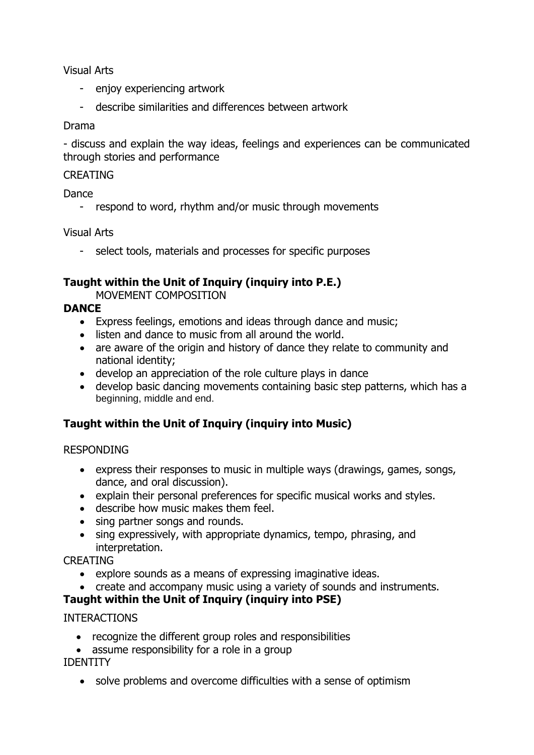Visual Arts

- enjoy experiencing artwork
- describe similarities and differences between artwork

### Drama

- discuss and explain the way ideas, feelings and experiences can be communicated through stories and performance

### **CREATING**

Dance

- respond to word, rhythm and/or music through movements

### Visual Arts

- select tools, materials and processes for specific purposes

# **Taught within the Unit of Inquiry (inquiry into P.E.)**

MOVEMENT COMPOSITION

# **DANCE**

- Express feelings, emotions and ideas through dance and music;
- listen and dance to music from all around the world.
- are aware of the origin and history of dance they relate to community and national identity;
- develop an appreciation of the role culture plays in dance
- develop basic dancing movements containing basic step patterns, which has a beginning, middle and end.

# **Taught within the Unit of Inquiry (inquiry into Music)**

## RESPONDING

- express their responses to music in multiple ways (drawings, games, songs, dance, and oral discussion).
- explain their personal preferences for specific musical works and styles.
- describe how music makes them feel.
- sing partner songs and rounds.
- sing expressively, with appropriate dynamics, tempo, phrasing, and interpretation.

## CREATING

- explore sounds as a means of expressing imaginative ideas.
- create and accompany music using a variety of sounds and instruments.

# **Taught within the Unit of Inquiry (inquiry into PSE)**

## INTERACTIONS

- recognize the different group roles and responsibilities
- assume responsibility for a role in a group

## IDENTITY

solve problems and overcome difficulties with a sense of optimism